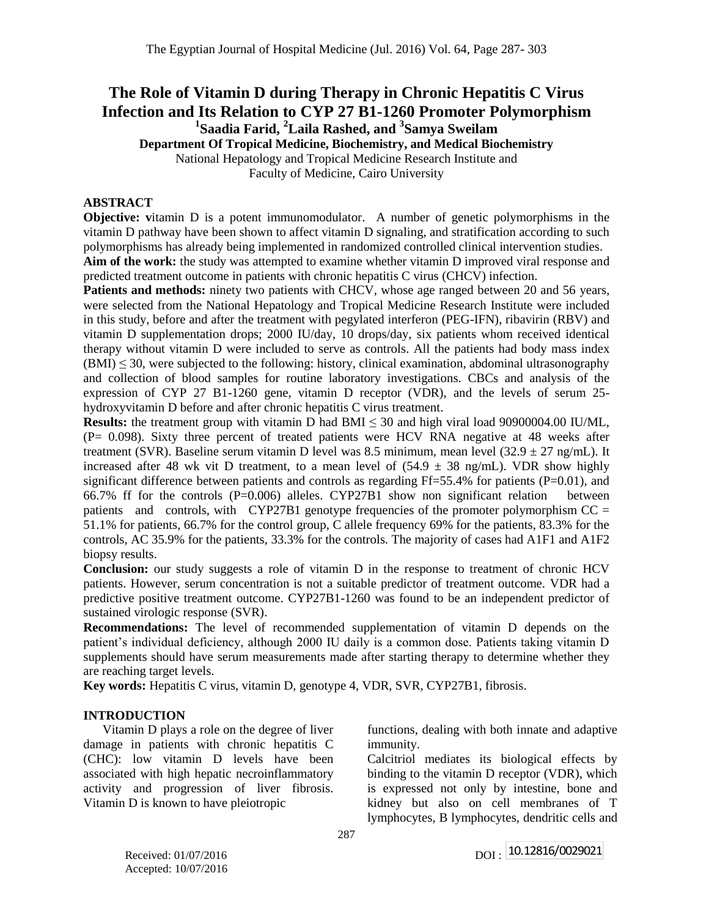# **The Role of Vitamin D during Therapy in Chronic Hepatitis C Virus Infection and Its Relation to CYP 27 B1-1260 Promoter Polymorphism 1 Saadia Farid, <sup>2</sup>Laila Rashed, and <sup>3</sup> Samya Sweilam**

**Department Of Tropical Medicine, Biochemistry, and Medical Biochemistry**

National Hepatology and Tropical Medicine Research Institute and Faculty of Medicine, Cairo University

#### **ABSTRACT**

**Objective:** vitamin D is a potent immunomodulator. A number of genetic polymorphisms in the vitamin D pathway have been shown to affect vitamin D signaling, and stratification according to such polymorphisms has already being implemented in randomized controlled clinical intervention studies. **Aim of the work:** the study was attempted to examine whether vitamin D improved viral response and predicted treatment outcome in patients with chronic hepatitis C virus (CHCV) infection.

**Patients and methods:** ninety two patients with CHCV, whose age ranged between 20 and 56 years, were selected from the National Hepatology and Tropical Medicine Research Institute were included in this study, before and after the treatment with pegylated interferon (PEG-IFN), ribavirin (RBV) and vitamin D supplementation drops; 2000 IU/day, 10 drops/day, six patients whom received identical therapy without vitamin D were included to serve as controls. All the patients had body mass index  $(BMI) \leq 30$ , were subjected to the following: history, clinical examination, abdominal ultrasonography and collection of blood samples for routine laboratory investigations. CBCs and analysis of the expression of CYP 27 B1-1260 gene, vitamin D receptor (VDR), and the levels of serum 25 hydroxyvitamin D before and after chronic hepatitis C virus treatment.

**Results:** the treatment group with vitamin D had BMI  $\leq$  30 and high viral load 90900004.00 IU/ML, (P= 0.098). Sixty three percent of treated patients were HCV RNA negative at 48 weeks after treatment (SVR). Baseline serum vitamin D level was 8.5 minimum, mean level (32.9  $\pm$  27 ng/mL). It increased after 48 wk vit D treatment, to a mean level of  $(54.9 \pm 38 \text{ ng/mL})$ . VDR show highly significant difference between patients and controls as regarding  $Ff=55.4%$  for patients (P=0.01), and 66.7% ff for the controls (P=0.006) alleles. CYP27B1 show non significant relation between patients and controls, with CYP27B1 genotype frequencies of the promoter polymorphism  $CC =$ 51.1% for patients, 66.7% for the control group, C allele frequency 69% for the patients, 83.3% for the controls, AC 35.9% for the patients, 33.3% for the controls. The majority of cases had A1F1 and A1F2 biopsy results.

**Conclusion:** our study suggests a role of vitamin D in the response to treatment of chronic HCV patients. However, serum concentration is not a suitable predictor of treatment outcome. VDR had a predictive positive treatment outcome. CYP27B1-1260 was found to be an independent predictor of sustained virologic response (SVR).

**Recommendations:** The level of recommended supplementation of vitamin D depends on the patient's individual deficiency, although 2000 IU daily is a common dose. Patients taking vitamin D supplements should have serum measurements made after starting therapy to determine whether they are reaching target levels.

**Key words:** Hepatitis C virus, vitamin D, genotype 4, VDR, SVR, CYP27B1, fibrosis.

#### **INTRODUCTION**

 Vitamin D plays a role on the degree of liver damage in patients with chronic hepatitis C (CHC): low vitamin D levels have been associated with high hepatic necroinflammatory activity and progression of liver fibrosis. Vitamin D is known to have pleiotropic

functions, dealing with both innate and adaptive immunity.

Calcitriol mediates its biological effects by binding to the vitamin D receptor (VDR), which is expressed not only by intestine, bone and kidney but also on cell membranes of T lymphocytes, B lymphocytes, dendritic cells and

Accepted: 10/07/2016

Received:  $01/07/2016$  DOI:  $\boxed{10.12816/0029021}$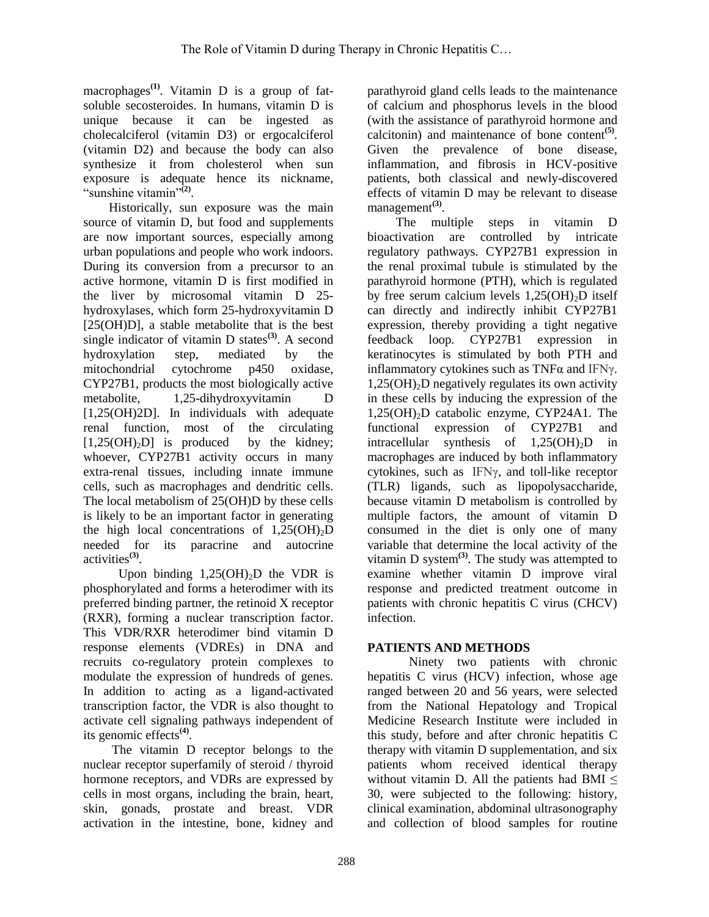macrophages**(1)** . Vitamin D is a group of fatsoluble secosteroides. In humans, vitamin D is unique because it can be ingested as cholecalciferol (vitamin D3) or ergocalciferol (vitamin D2) and because the body can also synthesize it from cholesterol when sun exposure is adequate hence its nickname, "sunshine vitamin"<sup>(2)</sup>.

 Historically, sun exposure was the main source of vitamin D, but food and supplements are now important sources, especially among urban populations and people who work indoors. During its conversion from a precursor to an active hormone, vitamin D is first modified in the liver by microsomal vitamin D 25 hydroxylases, which form 25-hydroxyvitamin D [25(OH)D], a stable metabolite that is the best single indicator of vitamin D states**(3)**. A second hydroxylation step, mediated by the mitochondrial cytochrome p450 oxidase, CYP27B1, products the most biologically active metabolite, 1,25-dihydroxyvitamin D [1,25(OH)2D]. In individuals with adequate renal function, most of the circulating  $[1,25(OH)<sub>2</sub>D]$  is produced by the kidney; whoever, CYP27B1 activity occurs in many extra-renal tissues, including innate immune cells, such as macrophages and dendritic cells. The local metabolism of 25(OH)D by these cells is likely to be an important factor in generating the high local concentrations of  $1,25(OH)_{2}D$ needed for its paracrine and autocrine activities**(3)** .

Upon binding  $1,25(OH)_{2}D$  the VDR is phosphorylated and forms a heterodimer with its preferred binding partner, the retinoid X receptor (RXR), forming a nuclear transcription factor. This VDR/RXR heterodimer bind vitamin D response elements (VDREs) in DNA and recruits co-regulatory protein complexes to modulate the expression of hundreds of genes. In addition to acting as a ligand-activated transcription factor, the VDR is also thought to activate cell signaling pathways independent of its genomic effects**(4)** .

 The vitamin D receptor belongs to the nuclear receptor superfamily of steroid / thyroid hormone receptors, and VDRs are expressed by cells in most organs, including the brain, heart, skin, gonads, prostate and breast. VDR activation in the intestine, bone, kidney and

parathyroid gland cells leads to the maintenance of calcium and phosphorus levels in the blood (with the assistance of parathyroid hormone and calcitonin) and maintenance of bone content<sup>(5)</sup>. Given the prevalence of bone disease, inflammation, and fibrosis in HCV-positive patients, both classical and newly-discovered effects of vitamin D may be relevant to disease management**(3)** .

 The multiple steps in vitamin D bioactivation are controlled by intricate regulatory pathways. CYP27B1 expression in the renal proximal tubule is stimulated by the parathyroid hormone (PTH), which is regulated by free serum calcium levels  $1,25(OH)_{2}D$  itself can directly and indirectly inhibit CYP27B1 expression, thereby providing a tight negative feedback loop. CYP27B1 expression in keratinocytes is stimulated by both PTH and inflammatory cytokines such as TNFα and IFNγ.  $1,25(OH)<sub>2</sub>D$  negatively regulates its own activity in these cells by inducing the expression of the  $1,25(OH)_{2}D$  catabolic enzyme, CYP24A1. The functional expression of CYP27B1 and intracellular synthesis of  $1,25(OH)<sub>2</sub>D$  in macrophages are induced by both inflammatory cytokines, such as IFNγ, and toll-like receptor (TLR) ligands, such as lipopolysaccharide, because vitamin D metabolism is controlled by multiple factors, the amount of vitamin D consumed in the diet is only one of many variable that determine the local activity of the vitamin D system**(3)** . The study was attempted to examine whether vitamin D improve viral response and predicted treatment outcome in patients with chronic hepatitis C virus (CHCV) infection.

# **PATIENTS AND METHODS**

Ninety two patients with chronic hepatitis C virus (HCV) infection, whose age ranged between 20 and 56 years, were selected from the National Hepatology and Tropical Medicine Research Institute were included in this study, before and after chronic hepatitis C therapy with vitamin D supplementation, and six patients whom received identical therapy without vitamin D. All the patients had BMI  $\leq$ 30, were subjected to the following: history, clinical examination, abdominal ultrasonography and collection of blood samples for routine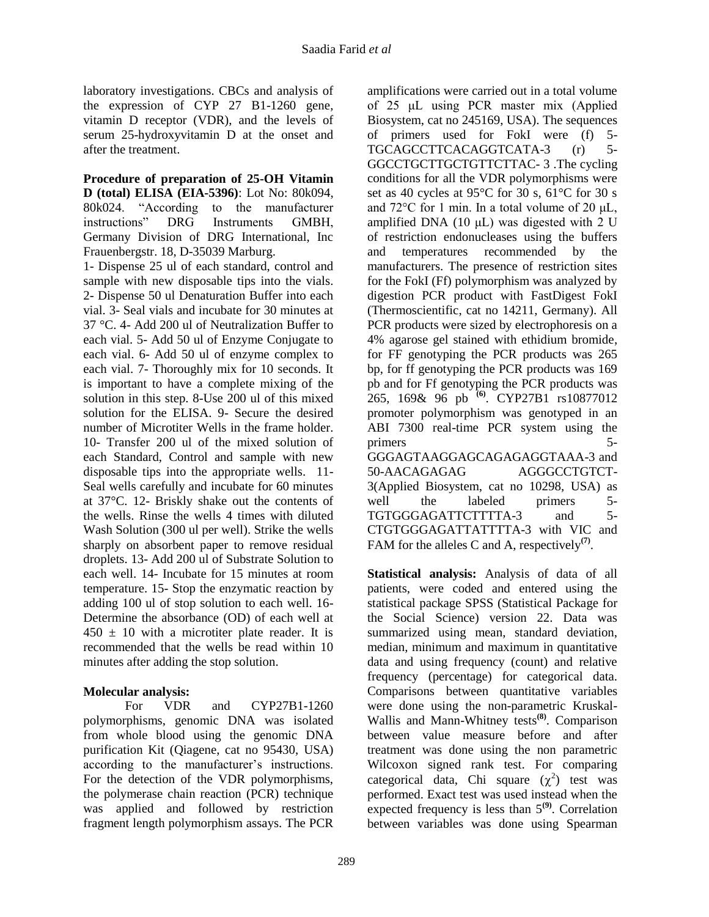laboratory investigations. CBCs and analysis of the expression of CYP 27 B1-1260 gene, vitamin D receptor (VDR), and the levels of serum 25-hydroxyvitamin D at the onset and after the treatment.

**Procedure of preparation of 25-OH Vitamin D (total) ELISA (EIA-5396)**: Lot No: 80k094, 80k024. "According to the manufacturer instructions" DRG Instruments GMBH, Germany Division of DRG International, Inc Frauenbergstr. 18, D-35039 Marburg.

1- Dispense 25 ul of each standard, control and sample with new disposable tips into the vials. 2- Dispense 50 ul Denaturation Buffer into each vial. 3- Seal vials and incubate for 30 minutes at 37 °C. 4- Add 200 ul of Neutralization Buffer to each vial. 5- Add 50 ul of Enzyme Conjugate to each vial. 6- Add 50 ul of enzyme complex to each vial. 7- Thoroughly mix for 10 seconds. It is important to have a complete mixing of the solution in this step. 8-Use 200 ul of this mixed solution for the ELISA. 9- Secure the desired number of Microtiter Wells in the frame holder. 10- Transfer 200 ul of the mixed solution of each Standard, Control and sample with new disposable tips into the appropriate wells. 11- Seal wells carefully and incubate for 60 minutes at 37°C. 12- Briskly shake out the contents of the wells. Rinse the wells 4 times with diluted Wash Solution (300 ul per well). Strike the wells sharply on absorbent paper to remove residual droplets. 13- Add 200 ul of Substrate Solution to each well. 14- Incubate for 15 minutes at room temperature. 15- Stop the enzymatic reaction by adding 100 ul of stop solution to each well. 16- Determine the absorbance (OD) of each well at  $450 \pm 10$  with a microtiter plate reader. It is recommended that the wells be read within 10 minutes after adding the stop solution.

# **Molecular analysis:**

For VDR and CYP27B1-1260 polymorphisms, genomic DNA was isolated from whole blood using the genomic DNA purification Kit (Qiagene, cat no 95430, USA) according to the manufacturer's instructions. For the detection of the VDR polymorphisms, the polymerase chain reaction (PCR) technique was applied and followed by restriction fragment length polymorphism assays. The PCR

amplifications were carried out in a total volume of 25 μL using PCR master mix (Applied Biosystem, cat no 245169, USA). The sequences of primers used for FokI were (f) 5- TGCAGCCTTCACAGGTCATA-3 (r) 5- GGCCTGCTTGCTGTTCTTAC- 3 .The cycling conditions for all the VDR polymorphisms were set as 40 cycles at 95°C for 30 s, 61°C for 30 s and 72°C for 1 min. In a total volume of 20 μL, amplified DNA (10 μL) was digested with 2 U of restriction endonucleases using the buffers and temperatures recommended by the manufacturers. The presence of restriction sites for the FokI (Ff) polymorphism was analyzed by digestion PCR product with FastDigest FokI (Thermoscientific, cat no 14211, Germany). All PCR products were sized by electrophoresis on a 4% agarose gel stained with ethidium bromide, for FF genotyping the PCR products was 265 bp, for ff genotyping the PCR products was 169 pb and for Ff genotyping the PCR products was 265, 169& 96 pb **(6)** . CYP27B1 rs10877012 promoter polymorphism was genotyped in an ABI 7300 real-time PCR system using the primers 5-GGGAGTAAGGAGCAGAGAGGTAAA-3 and 50-AACAGAGAG AGGGCCTGTCT-3(Applied Biosystem, cat no 10298, USA) as well the labeled primers 5-TGTGGGAGATTCTTTTA-3 and 5-CTGTGGGAGATTATTTTA-3 with VIC and FAM for the alleles C and A, respectively<sup>(7)</sup>.

**Statistical analysis:** Analysis of data of all patients, were coded and entered using the statistical package SPSS (Statistical Package for the Social Science) version 22. Data was summarized using mean, standard deviation, median, minimum and maximum in quantitative data and using frequency (count) and relative frequency (percentage) for categorical data. Comparisons between quantitative variables were done using the non-parametric Kruskal-Wallis and Mann-Whitney tests**(8)** . Comparison between value measure before and after treatment was done using the non parametric Wilcoxon signed rank test. For comparing categorical data, Chi square  $(\chi^2)$  test was performed. Exact test was used instead when the expected frequency is less than 5<sup>(9)</sup>. Correlation between variables was done using Spearman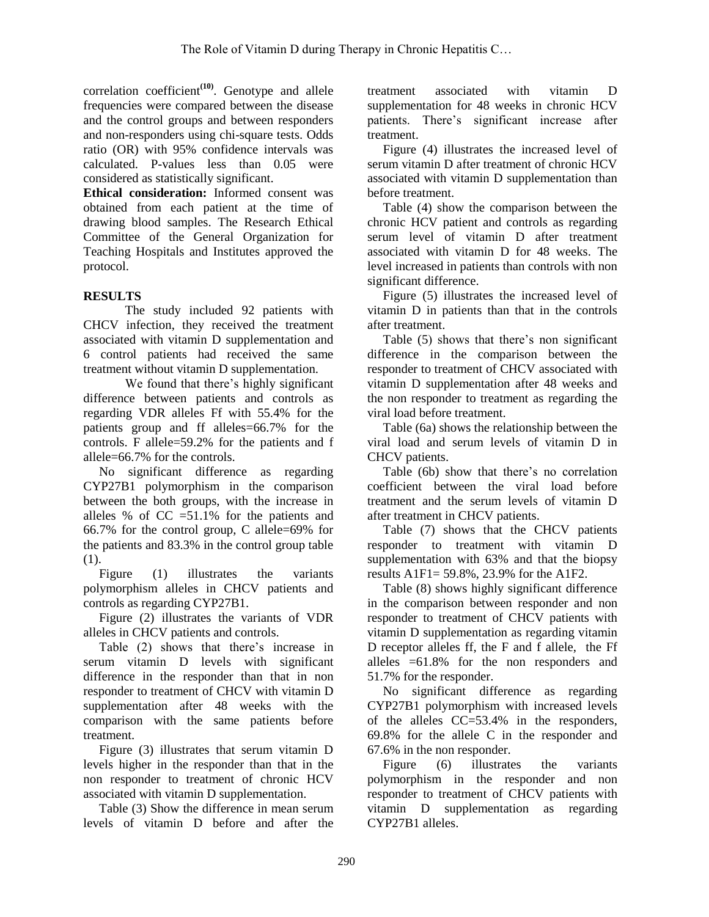correlation coefficient**(10)** . Genotype and allele frequencies were compared between the disease and the control groups and between responders and non-responders using chi-square tests. Odds ratio (OR) with 95% confidence intervals was calculated. P-values less than 0.05 were considered as statistically significant.

**Ethical consideration:** Informed consent was obtained from each patient at the time of drawing blood samples. The Research Ethical Committee of the General Organization for Teaching Hospitals and Institutes approved the protocol.

## **RESULTS**

The study included 92 patients with CHCV infection, they received the treatment associated with vitamin D supplementation and 6 control patients had received the same treatment without vitamin D supplementation.

We found that there's highly significant difference between patients and controls as regarding VDR alleles Ff with 55.4% for the patients group and ff alleles=66.7% for the controls. F allele=59.2% for the patients and f allele=66.7% for the controls.

No significant difference as regarding CYP27B1 polymorphism in the comparison between the both groups, with the increase in alleles % of CC =51.1% for the patients and 66.7% for the control group, C allele=69% for the patients and 83.3% in the control group table (1).

Figure (1) illustrates the variants polymorphism alleles in CHCV patients and controls as regarding CYP27B1.

Figure (2) illustrates the variants of VDR alleles in CHCV patients and controls.

Table (2) shows that there's increase in serum vitamin D levels with significant difference in the responder than that in non responder to treatment of CHCV with vitamin D supplementation after 48 weeks with the comparison with the same patients before treatment.

Figure (3) illustrates that serum vitamin D levels higher in the responder than that in the non responder to treatment of chronic HCV associated with vitamin D supplementation.

Table (3) Show the difference in mean serum levels of vitamin D before and after the

treatment associated with vitamin D supplementation for 48 weeks in chronic HCV patients. There's significant increase after treatment.

Figure (4) illustrates the increased level of serum vitamin D after treatment of chronic HCV associated with vitamin D supplementation than before treatment.

Table (4) show the comparison between the chronic HCV patient and controls as regarding serum level of vitamin D after treatment associated with vitamin D for 48 weeks. The level increased in patients than controls with non significant difference.

Figure (5) illustrates the increased level of vitamin D in patients than that in the controls after treatment.

Table (5) shows that there's non significant difference in the comparison between the responder to treatment of CHCV associated with vitamin D supplementation after 48 weeks and the non responder to treatment as regarding the viral load before treatment.

Table (6a) shows the relationship between the viral load and serum levels of vitamin D in CHCV patients.

Table (6b) show that there's no correlation coefficient between the viral load before treatment and the serum levels of vitamin D after treatment in CHCV patients.

Table (7) shows that the CHCV patients responder to treatment with vitamin D supplementation with 63% and that the biopsy results A1F1= 59.8%, 23.9% for the A1F2.

Table (8) shows highly significant difference in the comparison between responder and non responder to treatment of CHCV patients with vitamin D supplementation as regarding vitamin D receptor alleles ff, the F and f allele, the Ff alleles =61.8% for the non responders and 51.7% for the responder.

No significant difference as regarding CYP27B1 polymorphism with increased levels of the alleles CC=53.4% in the responders, 69.8% for the allele C in the responder and 67.6% in the non responder.

Figure (6) illustrates the variants polymorphism in the responder and non responder to treatment of CHCV patients with vitamin D supplementation as regarding CYP27B1 alleles.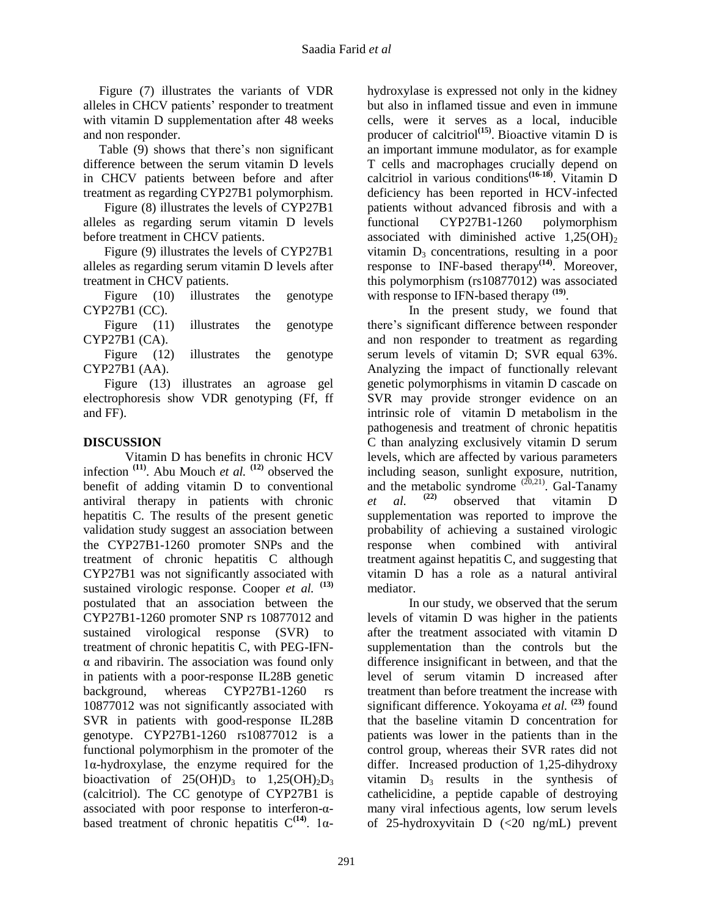Figure (7) illustrates the variants of VDR alleles in CHCV patients' responder to treatment with vitamin D supplementation after 48 weeks and non responder.

Table (9) shows that there's non significant difference between the serum vitamin D levels in CHCV patients between before and after treatment as regarding CYP27B1 polymorphism.

Figure (8) illustrates the levels of CYP27B1 alleles as regarding serum vitamin D levels before treatment in CHCV patients.

Figure (9) illustrates the levels of CYP27B1 alleles as regarding serum vitamin D levels after treatment in CHCV patients.

Figure (10) illustrates the genotype CYP27B1 (CC).

Figure (11) illustrates the genotype CYP27B1 (CA).

Figure (12) illustrates the genotype CYP27B1 (AA).

Figure (13) illustrates an agroase gel electrophoresis show VDR genotyping (Ff, ff and FF).

## **DISCUSSION**

Vitamin D has benefits in chronic HCV infection **(11)** . Abu Mouch *et al.* **(12)** observed the benefit of adding vitamin D to conventional antiviral therapy in patients with chronic hepatitis C. The results of the present genetic validation study suggest an association between the CYP27B1-1260 promoter SNPs and the treatment of chronic hepatitis C although CYP27B1 was not significantly associated with sustained virologic response. Cooper *et al.* **(13)** postulated that an association between the CYP27B1-1260 promoter SNP rs 10877012 and sustained virological response (SVR) to treatment of chronic hepatitis C, with PEG-IFNα and ribavirin. The association was found only in patients with a poor-response IL28B genetic background, whereas CYP27B1-1260 rs 10877012 was not significantly associated with SVR in patients with good-response IL28B genotype. CYP27B1-1260 rs10877012 is a functional polymorphism in the promoter of the 1α-hydroxylase, the enzyme required for the bioactivation of  $25(OH)D_3$  to  $1,25(OH)_2D_3$ (calcitriol). The CC genotype of CYP27B1 is associated with poor response to interferon-αbased treatment of chronic hepatitis C**(14)**. 1αhydroxylase is expressed not only in the kidney but also in inflamed tissue and even in immune cells, were it serves as a local, inducible producer of calcitriol<sup>(15)</sup>. Bioactive vitamin D is an important immune modulator, as for example T cells and macrophages crucially depend on calcitriol in various conditions**(16-18)** . Vitamin D deficiency has been reported in HCV-infected patients without advanced fibrosis and with a functional CYP27B1-1260 polymorphism associated with diminished active  $1,25(OH)_2$ vitamin  $D_3$  concentrations, resulting in a poor response to INF-based therapy<sup>(14)</sup>. Moreover, this polymorphism (rs10877012) was associated with response to IFN-based therapy <sup>(19)</sup>.

In the present study, we found that there's significant difference between responder and non responder to treatment as regarding serum levels of vitamin D; SVR equal 63%. Analyzing the impact of functionally relevant genetic polymorphisms in vitamin D cascade on SVR may provide stronger evidence on an intrinsic role of vitamin D metabolism in the pathogenesis and treatment of chronic hepatitis C than analyzing exclusively vitamin D serum levels, which are affected by various parameters including season, sunlight exposure, nutrition, and the metabolic syndrome  $(20,21)$ . Gal-Tanamy *et al.* **(22)** observed that vitamin D supplementation was reported to improve the probability of achieving a sustained virologic response when combined with antiviral treatment against hepatitis C, and suggesting that vitamin D has a role as a natural antiviral mediator.

In our study, we observed that the serum levels of vitamin D was higher in the patients after the treatment associated with vitamin D supplementation than the controls but the difference insignificant in between, and that the level of serum vitamin D increased after treatment than before treatment the increase with significant difference. Yokoyama *et al.* **(23)** found that the baseline vitamin D concentration for patients was lower in the patients than in the control group, whereas their SVR rates did not differ. Increased production of 1,25-dihydroxy vitamin  $D_3$  results in the synthesis of cathelicidine, a peptide capable of destroying many viral infectious agents, low serum levels of 25-hydroxyvitain D (<20 ng/mL) prevent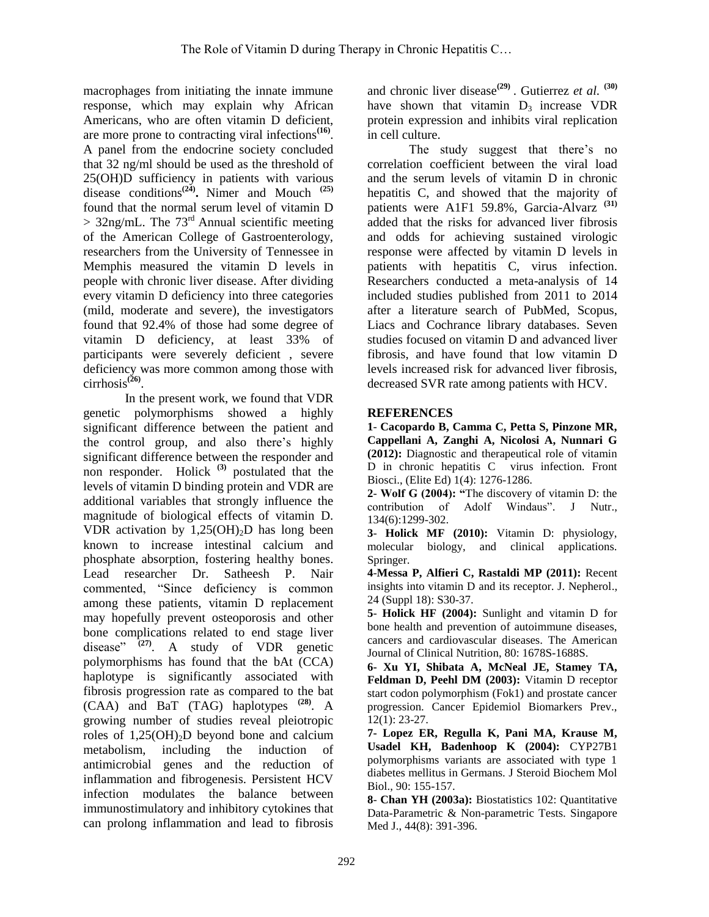macrophages from initiating the innate immune response, which may explain why African Americans, who are often vitamin D deficient, are more prone to contracting viral infections**(16)** . A panel from the endocrine society concluded that 32 ng/ml should be used as the threshold of 25(OH)D sufficiency in patients with various disease conditions**(24) .** Nimer and Mouch **(25)** found that the normal serum level of vitamin D  $>$  32ng/mL. The 73<sup>rd</sup> Annual scientific meeting of the American College of Gastroenterology, researchers from the University of Tennessee in Memphis measured the vitamin D levels in people with chronic liver disease. After dividing every vitamin D deficiency into three categories (mild, moderate and severe), the investigators found that 92.4% of those had some degree of vitamin D deficiency, at least 33% of participants were severely deficient , severe deficiency was more common among those with cirrhosis**(26)** .

In the present work, we found that VDR genetic polymorphisms showed a highly significant difference between the patient and the control group, and also there's highly significant difference between the responder and non responder. Holick<sup>(3)</sup> postulated that the levels of vitamin D binding protein and VDR are additional variables that strongly influence the magnitude of biological effects of vitamin D. VDR activation by  $1,25(OH)_{2}D$  has long been known to increase intestinal calcium and phosphate absorption, fostering healthy bones. Lead researcher Dr. Satheesh P. Nair commented, "Since deficiency is common among these patients, vitamin D replacement may hopefully prevent osteoporosis and other bone complications related to end stage liver disease" **(27)** . A study of VDR genetic polymorphisms has found that the bAt (CCA) haplotype is significantly associated with fibrosis progression rate as compared to the bat (CAA) and BaT (TAG) haplotypes **(28)** . A growing number of studies reveal pleiotropic roles of 1,25(OH)2D beyond bone and calcium metabolism, including the induction of antimicrobial genes and the reduction of inflammation and fibrogenesis. Persistent HCV infection modulates the balance between immunostimulatory and inhibitory cytokines that can prolong inflammation and lead to fibrosis

and chronic liver disease**(29)** . Gutierrez *et al.* **(30)** have shown that vitamin  $D_3$  increase VDR protein expression and inhibits viral replication in cell culture.

The study suggest that there's no correlation coefficient between the viral load and the serum levels of vitamin D in chronic hepatitis C, and showed that the majority of patients were A1F1 59.8%, Garcia-Alvarz **(31)** added that the risks for advanced liver fibrosis and odds for achieving sustained virologic response were affected by vitamin D levels in patients with hepatitis C, virus infection. Researchers conducted a meta-analysis of 14 included studies published from 2011 to 2014 after a literature search of PubMed, Scopus, Liacs and Cochrance library databases. Seven studies focused on vitamin D and advanced liver fibrosis, and have found that low vitamin D levels increased risk for advanced liver fibrosis, decreased SVR rate among patients with HCV.

## **REFERENCES**

**1**- **Cacopardo B, Camma C, Petta S, Pinzone MR, Cappellani A, Zanghi A, Nicolosi A, Nunnari G (2012):** Diagnostic and therapeutical role of vitamin D in chronic hepatitis C virus infection. Front Biosci., (Elite Ed) 1(4): 1276-1286.

**2**- **Wolf G (2004): "**The discovery of vitamin D: the contribution of Adolf Windaus". J Nutr., 134(6):1299-302.

**3**- **Holick MF (2010):** Vitamin D: physiology, molecular biology, and clinical applications. Springer.

**4**-**Messa P, Alfieri C, Rastaldi MP (2011):** Recent insights into vitamin D and its receptor. J. Nepherol., 24 (Suppl 18): S30-37.

**5**- **Holick HF (2004):** Sunlight and vitamin D for bone health and prevention of autoimmune diseases, cancers and cardiovascular diseases. The American Journal of Clinical Nutrition, 80: 1678S-1688S.

**6- Xu YI, Shibata A, McNeal JE, Stamey TA, Feldman D, Peehl DM (2003):** Vitamin D receptor start codon polymorphism (Fok1) and prostate cancer progression. Cancer Epidemiol Biomarkers Prev., 12(1): 23-27.

**7- Lopez ER, Regulla K, Pani MA, Krause M, Usadel KH, Badenhoop K (2004):** CYP27B1 polymorphisms variants are associated with type 1 diabetes mellitus in Germans. J Steroid Biochem Mol Biol., 90: 155-157.

**8**- **Chan YH (2003a):** Biostatistics 102: Quantitative Data-Parametric & Non-parametric Tests. Singapore Med J., 44(8): 391-396.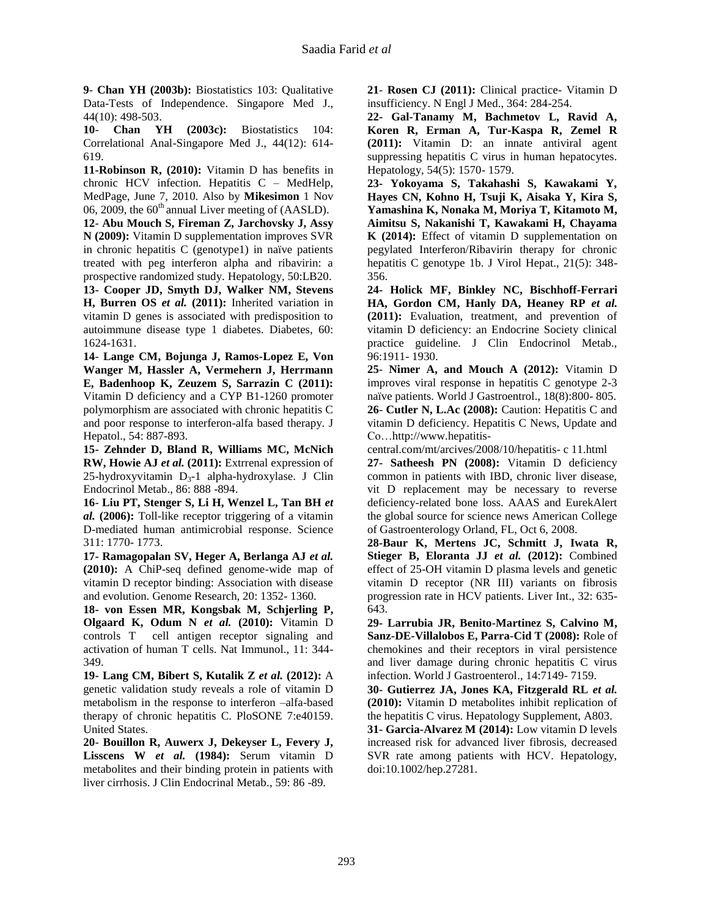**9**- **Chan YH (2003b):** Biostatistics 103: Qualitative Data-Tests of Independence. Singapore Med J., 44(10): 498-503.

**10**- **Chan YH (2003c):** Biostatistics 104: Correlational Anal-Singapore Med J., 44(12): 614- 619.

**11-Robinson R, (2010):** Vitamin D has benefits in chronic HCV infection. Hepatitis C – MedHelp, MedPage, June 7, 2010. Also by **Mikesimon** 1 Nov 06, 2009, the  $60<sup>th</sup>$  annual Liver meeting of (AASLD).

**12**- **Abu Mouch S, Fireman Z, Jarchovsky J, Assy N (2009):** Vitamin D supplementation improves SVR in chronic hepatitis C (genotype1) in naïve patients treated with peg interferon alpha and ribavirin: a prospective randomized study. Hepatology, 50:LB20.

**13- Cooper JD, Smyth DJ, Walker NM, Stevens H, Burren OS** *et al.* **(2011):** Inherited variation in vitamin D genes is associated with predisposition to autoimmune disease type 1 diabetes. Diabetes, 60: 1624-1631.

**14**- **Lange CM, Bojunga J, Ramos-Lopez E, Von Wanger M, Hassler A, Vermehern J, Herrmann E, Badenhoop K, Zeuzem S, Sarrazin C (2011):** Vitamin D deficiency and a CYP B1-1260 promoter polymorphism are associated with chronic hepatitis C and poor response to interferon-alfa based therapy. J Hepatol., 54: 887-893.

**15- Zehnder D, Bland R, Williams MC, McNich RW, Howie AJ** *et al.* **(2011):** Extrrenal expression of 25-hydroxyvitamin  $D_3-1$  alpha-hydroxylase. J Clin Endocrinol Metab., 86: 888 -894.

**16**- **Liu PT, Stenger S, Li H, Wenzel L, Tan BH** *et al.* **(2006):** Toll-like receptor triggering of a vitamin D-mediated human antimicrobial response. Science 311: 1770- 1773.

**17- Ramagopalan SV, Heger A, Berlanga AJ** *et al.* **(2010):** A ChiP-seq defined genome-wide map of vitamin D receptor binding: Association with disease and evolution. Genome Research, 20: 1352- 1360.

**18- von Essen MR, Kongsbak M, Schjerling P, Olgaard K, Odum N** *et al.* **(2010):** Vitamin D controls T cell antigen receptor signaling and activation of human T cells. Nat Immunol., 11: 344- 349.

**19- Lang CM, Bibert S, Kutalik Z** *et al.* **(2012):** A genetic validation study reveals a role of vitamin D metabolism in the response to interferon –alfa-based therapy of chronic hepatitis C. PloSONE 7:e40159. United States.

**20**- **Bouillon R, Auwerx J, Dekeyser L, Fevery J, Lisscens W** *et al.* **(1984):** Serum vitamin D metabolites and their binding protein in patients with liver cirrhosis. J Clin Endocrinal Metab., 59: 86 -89.

**21**- **Rosen CJ (2011):** Clinical practice- Vitamin D insufficiency. N Engl J Med., 364: 284-254.

**22- Gal-Tanamy M, Bachmetov L, Ravid A, Koren R, Erman A, Tur-Kaspa R, Zemel R (2011):** Vitamin D: an innate antiviral agent suppressing hepatitis C virus in human hepatocytes. Hepatology, 54(5): 1570- 1579.

**23- Yokoyama S, Takahashi S, Kawakami Y, Hayes CN, Kohno H, Tsuji K, Aisaka Y, Kira S, Yamashina K, Nonaka M, Moriya T, Kitamoto M, Aimitsu S, Nakanishi T, Kawakami H, Chayama K (2014):** Effect of vitamin D supplementation on pegylated Interferon/Ribavirin therapy for chronic hepatitis C genotype 1b. J Virol Hepat., 21(5): 348- 356.

**24- Holick MF, Binkley NC, Bischhoff-Ferrari HA, Gordon CM, Hanly DA, Heaney RP** *et al.*  **(2011):** Evaluation, treatment, and prevention of vitamin D deficiency: an Endocrine Society clinical practice guideline. J Clin Endocrinol Metab., 96:1911- 1930.

**25**- **Nimer A, and Mouch A (2012):** Vitamin D improves viral response in hepatitis C genotype 2-3 naïve patients. World J Gastroentrol., 18(8):800- 805. **26**- **Cutler N, L.Ac (2008):** Caution: Hepatitis C and vitamin D deficiency. Hepatitis C News, Update and Co…http://www.hepatitis-

central.com/mt/arcives/2008/10/hepatitis- c 11.html

**27- Satheesh PN (2008):** Vitamin D deficiency common in patients with IBD, chronic liver disease, vit D replacement may be necessary to reverse deficiency-related bone loss. AAAS and EurekAlert the global source for science news American College of Gastroenterology Orland, FL, Oct 6, 2008.

**28-Baur K, Mertens JC, Schmitt J, Iwata R, Stieger B, Eloranta JJ** *et al.* **(2012):** Combined effect of 25-OH vitamin D plasma levels and genetic vitamin D receptor (NR III) variants on fibrosis progression rate in HCV patients. Liver Int., 32: 635- 643.

**29- Larrubia JR, Benito-Martinez S, Calvino M, Sanz-DE-Villalobos E, Parra-Cid T (2008):** Role of chemokines and their receptors in viral persistence and liver damage during chronic hepatitis C virus infection. World J Gastroenterol., 14:7149- 7159.

**30- Gutierrez JA, Jones KA, Fitzgerald RL** *et al.*  **(2010):** Vitamin D metabolites inhibit replication of the hepatitis C virus. Hepatology Supplement, A803.

**31- Garcia-Alvarez M (2014):** Low vitamin D levels increased risk for advanced liver fibrosis, decreased SVR rate among patients with HCV. Hepatology, doi:10.1002/hep.27281.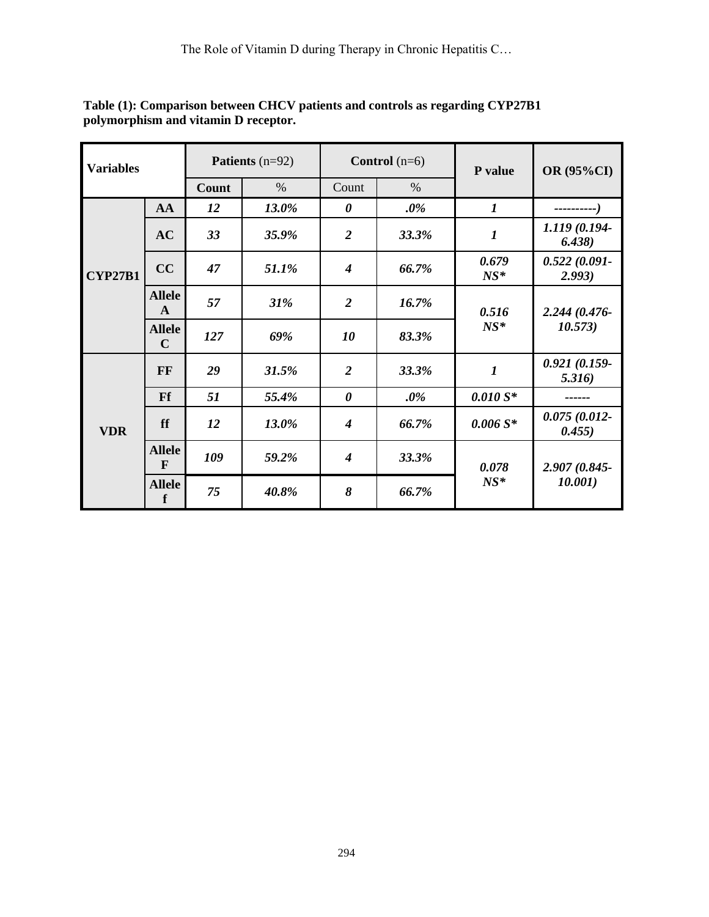| <b>Variables</b> |                               | <b>Patients</b> $(n=92)$ |       |                       | <b>Control</b> $(n=6)$ | P value          | OR (95%CI)                |
|------------------|-------------------------------|--------------------------|-------|-----------------------|------------------------|------------------|---------------------------|
|                  |                               | <b>Count</b>             | $\%$  | Count                 | $\%$                   |                  |                           |
| <b>CYP27B1</b>   | AA                            | 12                       | 13.0% | 0                     | $.0\%$                 | $\boldsymbol{l}$ |                           |
|                  | AC                            | 33                       | 35.9% | $\overline{2}$        | 33.3%                  | $\boldsymbol{l}$ | 1.119 (0.194-<br>6.438)   |
|                  | CC                            | 47                       | 51.1% | $\boldsymbol{4}$      | 66.7%                  | 0.679<br>$NS^*$  | 0.522(0.091<br>2.993)     |
|                  | <b>Allele</b><br>$\mathbf{A}$ | 57                       | 31%   | $\overline{2}$        | 16.7%                  | 0.516            | $2.244(0.476-$            |
|                  | <b>Allele</b><br>$\mathbf C$  | 127                      | 69%   | 10                    | 83.3%                  | $NS^*$           | 10.573)                   |
|                  | FF                            | 29                       | 31.5% | $\overline{2}$        | 33.3%                  | $\boldsymbol{l}$ | $0.921(0.159-$<br>5.316)  |
|                  | <b>Ff</b>                     | 51                       | 55.4% | $\boldsymbol{\theta}$ | $.0\%$                 | $0.010 S*$       |                           |
| <b>VDR</b>       | ff                            | 12                       | 13.0% | $\boldsymbol{4}$      | 66.7%                  | $0.006 S*$       | $0.075(0.012 -$<br>0.455) |
|                  | <b>Allele</b><br>$\mathbf{F}$ | 109                      | 59.2% | $\boldsymbol{4}$      | 33.3%                  | 0.078            | 2.907 (0.845-             |
|                  | <b>Allele</b><br>f            | 75                       | 40.8% | 8                     | 66.7%                  | $NS^*$           | 10.001)                   |

**Table (1): Comparison between CHCV patients and controls as regarding CYP27B1 polymorphism and vitamin D receptor.**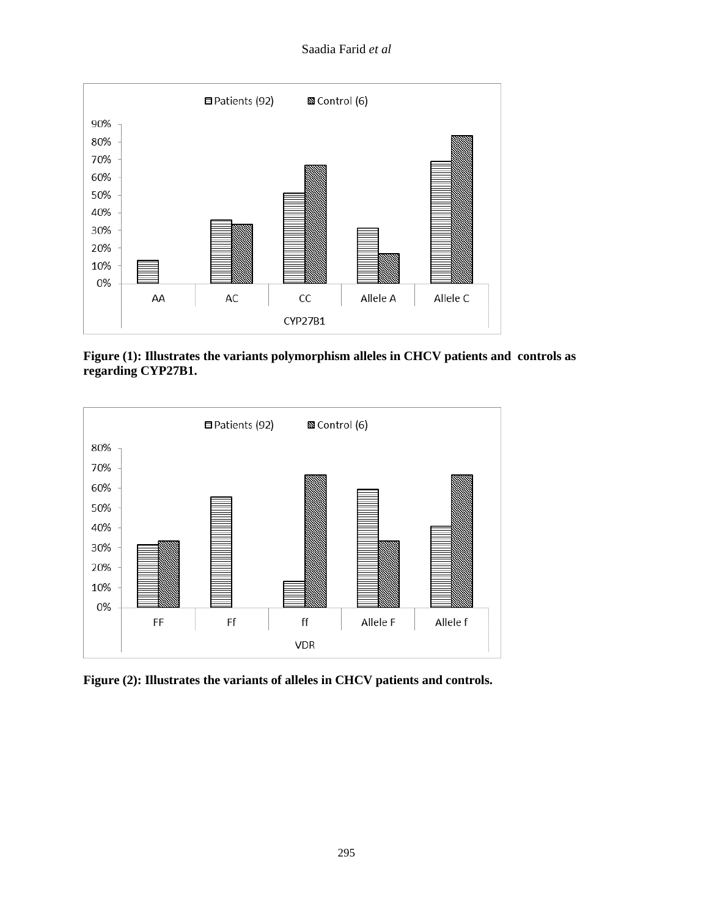Saadia Farid *et al*



**Figure (1): Illustrates the variants polymorphism alleles in CHCV patients and controls as regarding CYP27B1.**



**Figure (2): Illustrates the variants of alleles in CHCV patients and controls.**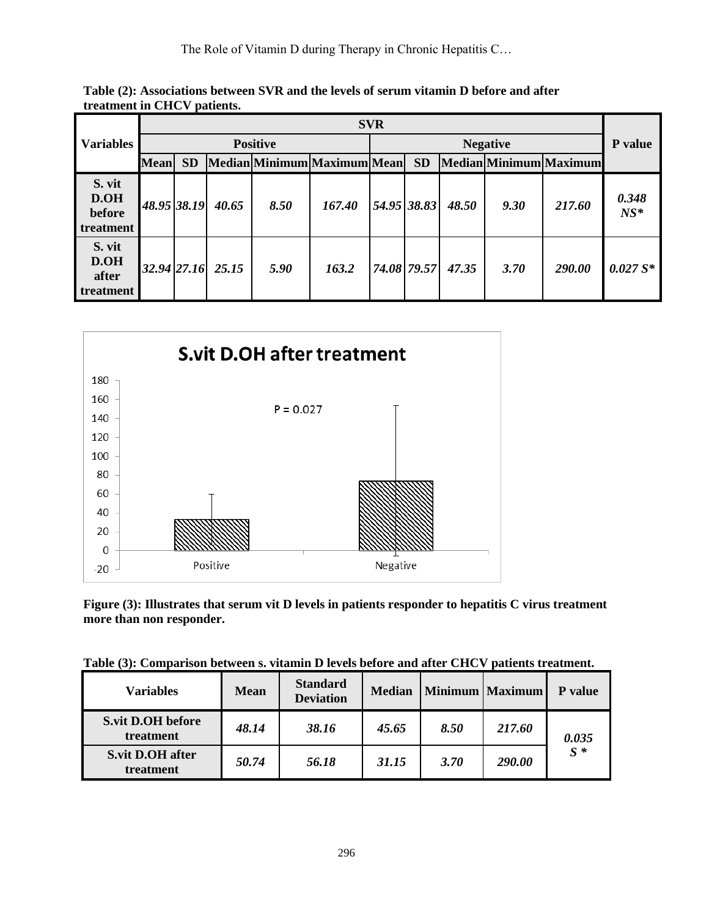The Role of Vitamin D during Therapy in Chronic Hepatitis C…

| treatment in CHCV patients.           |                 |            |                   |      |                             |             |                 |       |      |                        |                 |
|---------------------------------------|-----------------|------------|-------------------|------|-----------------------------|-------------|-----------------|-------|------|------------------------|-----------------|
|                                       |                 | <b>SVR</b> |                   |      |                             |             |                 |       |      |                        |                 |
| <b>Variables</b>                      | <b>Positive</b> |            |                   |      |                             |             | <b>Negative</b> |       |      |                        |                 |
|                                       | <b>Mean</b>     | <b>SD</b>  |                   |      | Median Minimum Maximum Mean |             | <b>SD</b>       |       |      | Median Minimum Maximum |                 |
| S. vit<br>D.OH<br>before<br>treatment | 48.95 38.19     |            | 40.65             | 8.50 | 167.40                      | 54.95 38.83 |                 | 48.50 | 9.30 | 217.60                 | 0.348<br>$NS^*$ |
| S. vit<br>D.OH<br>after               |                 |            | 32.94 27.16 25.15 | 5.90 | 163.2                       | 74.08 79.57 |                 | 47.35 | 3.70 | 290.00                 | $0.027 S^*$     |

**Table (2): Associations between SVR and the levels of serum vitamin D before and after treatment in CHCV patients.**



**treatment**

**Figure (3): Illustrates that serum vit D levels in patients responder to hepatitis C virus treatment more than non responder.**

| <b>Variables</b>                      | <b>Mean</b> | <b>Standard</b><br><b>Deviation</b> | <b>Median</b> |             | Minimum   Maximum | <b>P</b> value |
|---------------------------------------|-------------|-------------------------------------|---------------|-------------|-------------------|----------------|
| <b>S.vit D.OH before</b><br>treatment | 48.14       | 38.16                               | 45.65         | 8.50        | 217.60            | 0.035          |
| S.vit D.OH after<br>treatment         | 50.74       | 56.18                               | 31.15         | <b>3.70</b> | 290.00            | $S^*$          |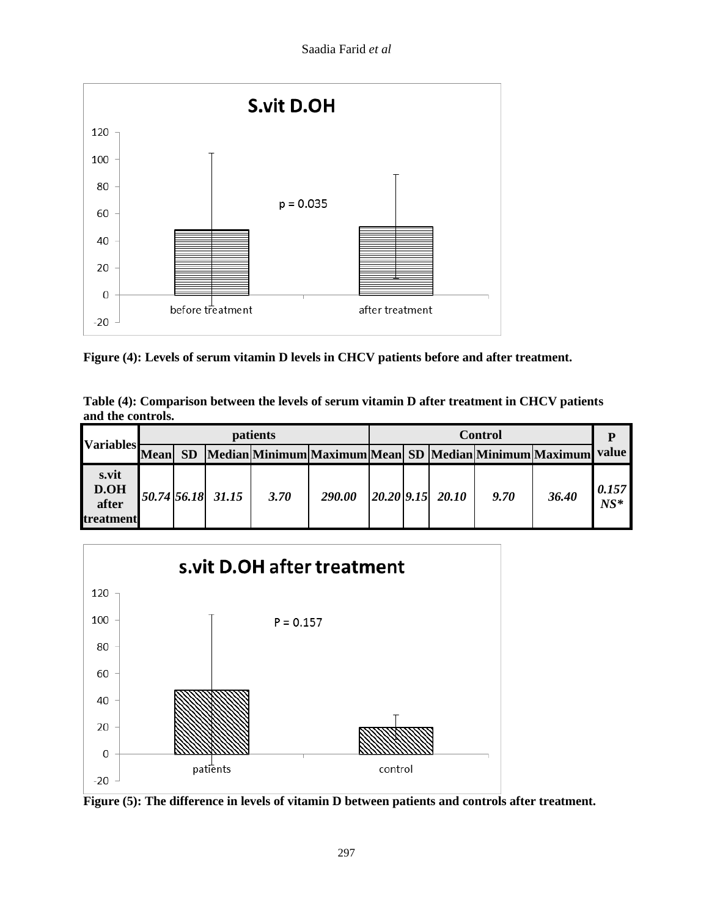Saadia Farid *et al*



**Figure (4): Levels of serum vitamin D levels in CHCV patients before and after treatment.**

| Table (4): Comparison between the levels of serum vitamin D after treatment in CHCV patients |  |
|----------------------------------------------------------------------------------------------|--|
| and the controls.                                                                            |  |

| <b>Variables</b>                    | <i>patients</i> |           |                     |      |                                                                | <b>Control</b> |  |                                                                                   |      |       |                 |
|-------------------------------------|-----------------|-----------|---------------------|------|----------------------------------------------------------------|----------------|--|-----------------------------------------------------------------------------------|------|-------|-----------------|
|                                     | Meanl           | <b>SD</b> |                     |      | Median Minimum Maximum Mean  SD  Median Minimum Maximum  value |                |  |                                                                                   |      |       |                 |
| s.vit<br>D.OH<br>after<br>treatment |                 |           | $50.74$ 56.18 31.15 | 3.70 | 290.00                                                         |                |  | $\begin{array}{ c c c c c c c c } \hline 20.20 & 9.15 & 20.10 \hline \end{array}$ | 9.70 | 36.40 | 0.157<br>$NS^*$ |



**Figure (5): The difference in levels of vitamin D between patients and controls after treatment.**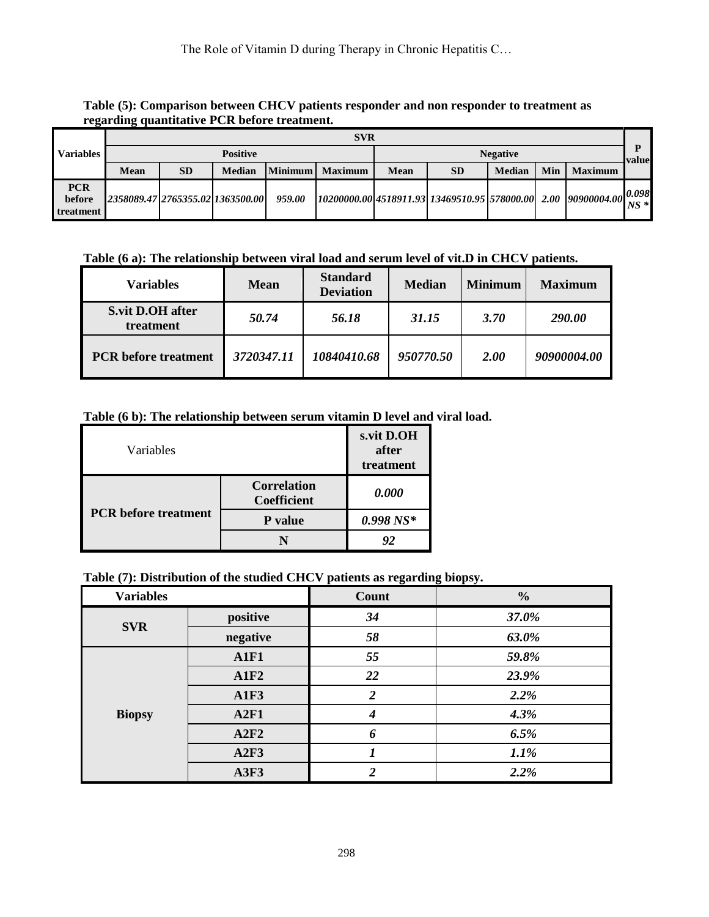#### **Table (5): Comparison between CHCV patients responder and non responder to treatment as regarding quantitative PCR before treatment.**

|                                   |                                  | <b>SVR</b> |               |        |                  |                 |           |               |     |                |       |  |
|-----------------------------------|----------------------------------|------------|---------------|--------|------------------|-----------------|-----------|---------------|-----|----------------|-------|--|
| <b>Variables</b>                  | <b>Positive</b>                  |            |               |        |                  | <b>Negative</b> |           |               |     |                | value |  |
|                                   | Mean                             | <b>SD</b>  | <b>Median</b> |        | Minimum  Maximum | Mean            | <b>SD</b> | <b>Median</b> | Min | <b>Maximum</b> |       |  |
| <b>PCR</b><br>before<br>treatment | 2358089.47 2765355.02 1363500.00 |            |               | 959.00 |                  |                 |           |               |     |                |       |  |

## **Table (6 a): The relationship between viral load and serum level of vit.D in CHCV patients.**

| Variables                            | <b>Mean</b> | <b>Standard</b><br><b>Deviation</b> | <b>Median</b> | <b>Minimum</b> | <b>Maximum</b> |
|--------------------------------------|-------------|-------------------------------------|---------------|----------------|----------------|
| <b>S.vit D.OH after</b><br>treatment | 50.74       | 56.18                               | 31.15         | <b>3.70</b>    | 290.00         |
| <b>PCR</b> before treatment          | 3720347.11  | 10840410.68                         | 950770.50     | <b>2.00</b>    | 90900004.00    |

## **Table (6 b): The relationship between serum vitamin D level and viral load.**

| Variables                   |                                          | s.vit D.OH<br>after<br>treatment |
|-----------------------------|------------------------------------------|----------------------------------|
|                             | <b>Correlation</b><br><b>Coefficient</b> | 0.000                            |
| <b>PCR</b> before treatment | <b>P</b> value                           | $0.998$ NS*                      |
|                             |                                          | 92                               |

**Table (7): Distribution of the studied CHCV patients as regarding biopsy.**

| <b>Variables</b> |          | Count          | $\frac{0}{0}$ |
|------------------|----------|----------------|---------------|
|                  | positive | 34             | 37.0%         |
| <b>SVR</b>       | negative | 58             | 63.0%         |
|                  | A1F1     | 55             | 59.8%         |
|                  | AIF2     | 22             | 23.9%         |
|                  | AIF3     | 2              | 2.2%          |
| <b>Biopsy</b>    | A2F1     | 4              | 4.3%          |
|                  | A2F2     | 6              | 6.5%          |
|                  | A2F3     |                | $1.1\%$       |
|                  | A3F3     | $\mathfrak{D}$ | 2.2%          |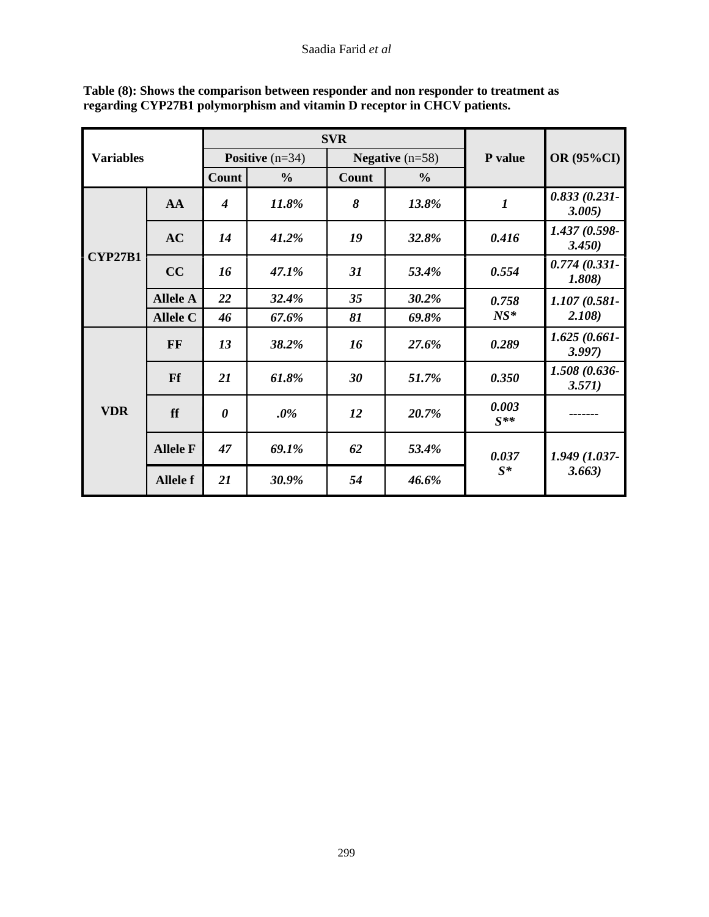| <b>Variables</b> |                 |                   | <b>SVR</b>                                                     |    |                   |                   |                           |
|------------------|-----------------|-------------------|----------------------------------------------------------------|----|-------------------|-------------------|---------------------------|
|                  |                 | Positive $(n=34)$ |                                                                |    | Negative $(n=58)$ | P value           | OR (95%CI)                |
|                  |                 |                   | <b>Count</b><br>$\frac{0}{0}$<br><b>Count</b><br>$\frac{0}{0}$ |    |                   |                   |                           |
|                  | AA              | $\boldsymbol{4}$  | 11.8%                                                          | 8  | 13.8%             | $\boldsymbol{l}$  | $0.833(0.231$ -<br>3.005) |
|                  | AC              | 14                | 41.2%                                                          | 19 | 32.8%             | 0.416             | 1.437 (0.598-<br>3.450    |
| <b>CYP27B1</b>   | CC              | 16                | 47.1%                                                          | 31 | 53.4%             | 0.554             | $0.774(0.331-$<br>1.808)  |
|                  | <b>Allele A</b> | 22                | 32.4%                                                          | 35 | 30.2%             | 0.758             | 1.107 (0.581-             |
|                  | <b>Allele C</b> | 46                | 67.6%                                                          | 81 | 69.8%             | $NS^*$            | 2.108)                    |
|                  | FF              | 13                | 38.2%                                                          | 16 | 27.6%             | 0.289             | $1.625(0.661-$<br>3.997)  |
|                  | <b>Ff</b>       | <b>21</b>         | 61.8%                                                          | 30 | 51.7%             | 0.350             | 1.508 (0.636-<br>3.571)   |
| <b>VDR</b>       | ff              | 0                 | $.0\%$                                                         | 12 | 20.7%             | 0.003<br>$S^{**}$ |                           |
|                  | <b>Allele F</b> | 47                | 69.1%                                                          | 62 | 53.4%             | 0.037             | 1.949 (1.037-             |
|                  | <b>Allele f</b> | 21                | 30.9%                                                          | 54 | 46.6%             | $S^*$             | 3.663)                    |

**Table (8): Shows the comparison between responder and non responder to treatment as regarding CYP27B1 polymorphism and vitamin D receptor in CHCV patients.**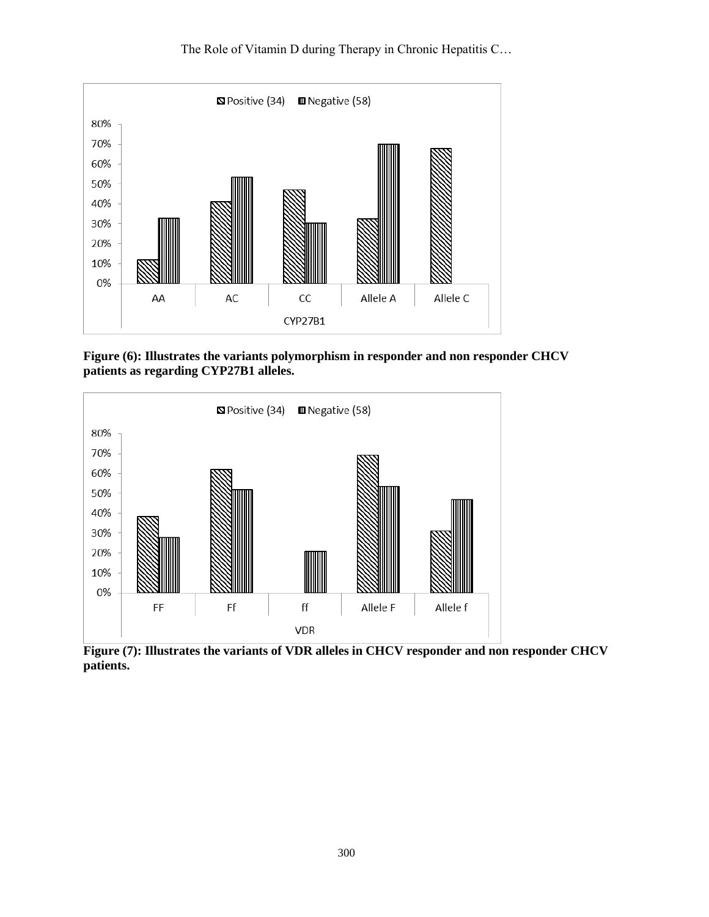

The Role of Vitamin D during Therapy in Chronic Hepatitis C…

**Figure (6): Illustrates the variants polymorphism in responder and non responder CHCV patients as regarding CYP27B1 alleles.**



**Figure (7): Illustrates the variants of VDR alleles in CHCV responder and non responder CHCV patients.**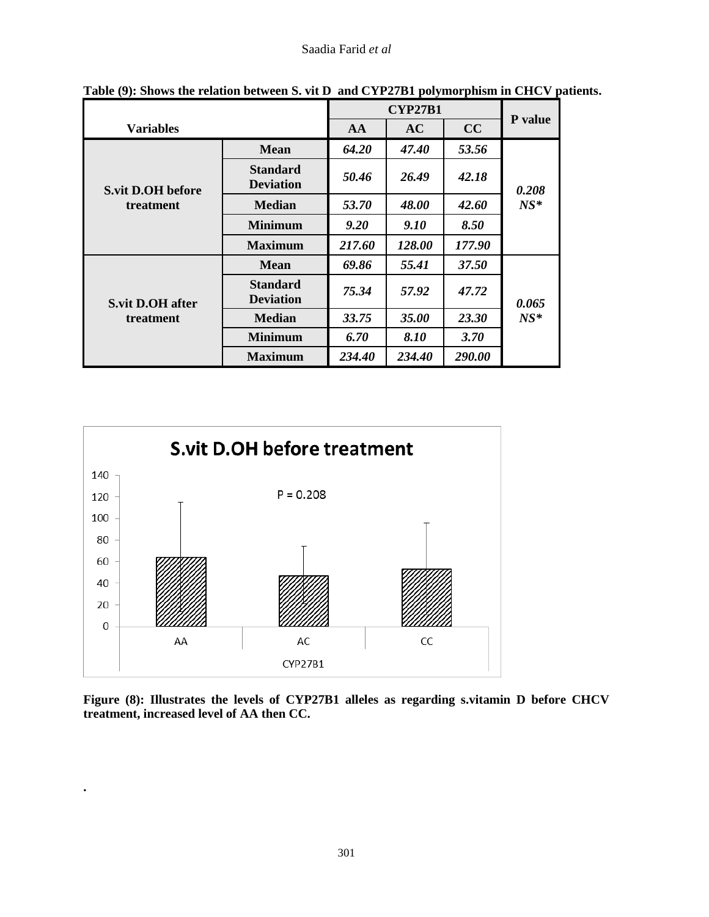| <b>Variables</b>         |                                     | AA     | AC     | CC            | P value         |  |
|--------------------------|-------------------------------------|--------|--------|---------------|-----------------|--|
|                          | <b>Mean</b>                         | 64.20  | 47.40  | 53.56         |                 |  |
| <b>S.vit D.OH before</b> | <b>Standard</b><br><b>Deviation</b> | 50.46  | 26.49  | 42.18         | 0.208<br>$NS^*$ |  |
| treatment                | <b>Median</b>                       | 53.70  | 48.00  | 42.60         |                 |  |
|                          | <b>Minimum</b>                      | 9.20   | 9.10   | 8.50          |                 |  |
|                          | <b>Maximum</b>                      | 217.60 | 128.00 | 177.90        |                 |  |
|                          | <b>Mean</b>                         | 69.86  | 55.41  | 37.50         |                 |  |
| <b>S.vit D.OH after</b>  | <b>Standard</b><br><b>Deviation</b> | 75.34  | 57.92  | 47.72         | 0.065           |  |
| treatment                | <b>Median</b>                       | 33.75  | 35.00  | 23.30         | $NS^*$          |  |
|                          | <b>Minimum</b>                      | 6.70   | 8.10   | 3.70          |                 |  |
|                          | <b>Maximum</b>                      | 234.40 | 234.40 | <b>290.00</b> |                 |  |

**Table (9): Shows the relation between S. vit D and CYP27B1 polymorphism in CHCV patients.**



**.**

**Figure (8): Illustrates the levels of CYP27B1 alleles as regarding s.vitamin D before CHCV treatment, increased level of AA then CC.**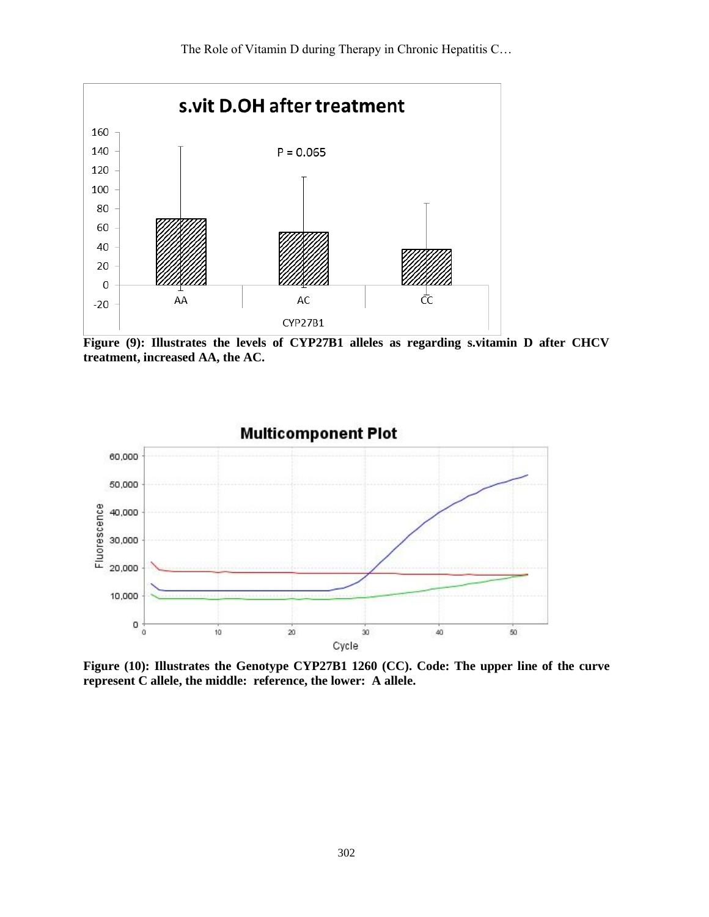

**Figure (9): Illustrates the levels of CYP27B1 alleles as regarding s.vitamin D after CHCV treatment, increased AA, the AC.**



**Figure (10): Illustrates the Genotype CYP27B1 1260 (CC). Code: The upper line of the curve represent C allele, the middle: reference, the lower: A allele.**